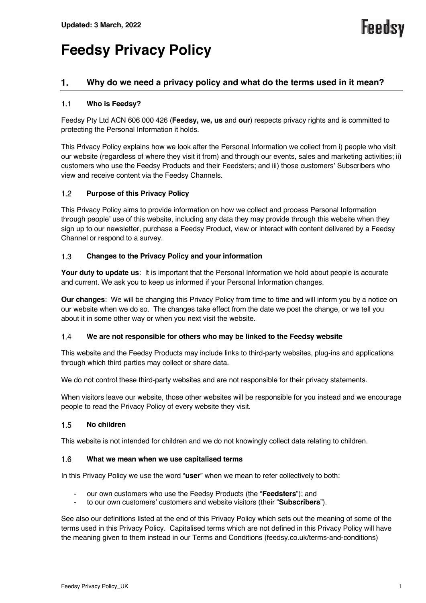# **Feedsy Privacy Policy**

# 1. **Why do we need a privacy policy and what do the terms used in it mean?**

# $1.1$ **Who is Feedsy?**

Feedsy Pty Ltd ACN 606 000 426 (**Feedsy, we, us** and **our**) respects privacy rights and is committed to protecting the Personal Information it holds.

This Privacy Policy explains how we look after the Personal Information we collect from i) people who visit our website (regardless of where they visit it from) and through our events, sales and marketing activities; ii) customers who use the Feedsy Products and their Feedsters; and iii) those customers' Subscribers who view and receive content via the Feedsy Channels.

# $1.2$ **Purpose of this Privacy Policy**

This Privacy Policy aims to provide information on how we collect and process Personal Information through people' use of this website, including any data they may provide through this website when they sign up to our newsletter, purchase a Feedsy Product, view or interact with content delivered by a Feedsy Channel or respond to a survey.

# $1.3$ **Changes to the Privacy Policy and your information**

**Your duty to update us**: It is important that the Personal Information we hold about people is accurate and current. We ask you to keep us informed if your Personal Information changes.

**Our changes**: We will be changing this Privacy Policy from time to time and will inform you by a notice on our website when we do so. The changes take effect from the date we post the change, or we tell you about it in some other way or when you next visit the website.

### **We are not responsible for others who may be linked to the Feedsy website**  $1.4$

This website and the Feedsy Products may include links to third-party websites, plug-ins and applications through which third parties may collect or share data.

We do not control these third-party websites and are not responsible for their privacy statements.

When visitors leave our website, those other websites will be responsible for you instead and we encourage people to read the Privacy Policy of every website they visit.

### $1.5$ **No children**

This website is not intended for children and we do not knowingly collect data relating to children.

### $1.6$ **What we mean when we use capitalised terms**

In this Privacy Policy we use the word "**user**" when we mean to refer collectively to both:

- our own customers who use the Feedsy Products (the "**Feedsters**"); and
- to our own customers' customers and website visitors (their "**Subscribers**").

See also our definitions listed at the end of this Privacy Policy which sets out the meaning of some of the terms used in this Privacy Policy. Capitalised terms which are not defined in this Privacy Policy will have the meaning given to them instead in our Terms and Conditions (feedsy.co.uk/terms-and-conditions)

**Feedsy**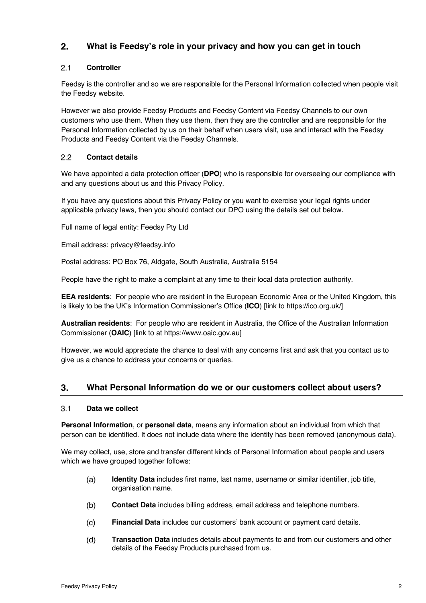# $2.1$ **Controller**

Feedsy is the controller and so we are responsible for the Personal Information collected when people visit the Feedsy website.

However we also provide Feedsy Products and Feedsy Content via Feedsy Channels to our own customers who use them. When they use them, then they are the controller and are responsible for the Personal Information collected by us on their behalf when users visit, use and interact with the Feedsy Products and Feedsy Content via the Feedsy Channels.

# 2.2 **Contact details**

We have appointed a data protection officer (**DPO**) who is responsible for overseeing our compliance with and any questions about us and this Privacy Policy.

If you have any questions about this Privacy Policy or you want to exercise your legal rights under applicable privacy laws, then you should contact our DPO using the details set out below.

Full name of legal entity: Feedsy Pty Ltd

Email address: privacy@feedsy.info

Postal address: PO Box 76, Aldgate, South Australia, Australia 5154

People have the right to make a complaint at any time to their local data protection authority.

**EEA residents**: For people who are resident in the European Economic Area or the United Kingdom, this is likely to be the UK's Information Commissioner's Office (**ICO**) [link to https://ico.org.uk/]

**Australian residents**: For people who are resident in Australia, the Office of the Australian Information Commissioner (**OAIC**) [link to at https://www.oaic.gov.au]

However, we would appreciate the chance to deal with any concerns first and ask that you contact us to give us a chance to address your concerns or queries.

# 3. **What Personal Information do we or our customers collect about users?**

### $3.1$ **Data we collect**

**Personal Information**, or **personal data**, means any information about an individual from which that person can be identified. It does not include data where the identity has been removed (anonymous data).

We may collect, use, store and transfer different kinds of Personal Information about people and users which we have grouped together follows:

- **Identity Data** includes first name, last name, username or similar identifier, job title,  $(a)$ organisation name.
- $(b)$ **Contact Data** includes billing address, email address and telephone numbers.
- $(c)$ **Financial Data** includes our customers' bank account or payment card details.
- $(d)$ **Transaction Data** includes details about payments to and from our customers and other details of the Feedsy Products purchased from us.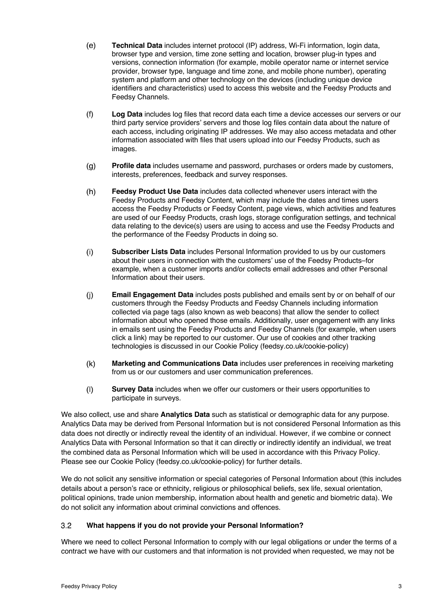- $(e)$ **Technical Data** includes internet protocol (IP) address, Wi-Fi information, login data, browser type and version, time zone setting and location, browser plug-in types and versions, connection information (for example, mobile operator name or internet service provider, browser type, language and time zone, and mobile phone number), operating system and platform and other technology on the devices (including unique device identifiers and characteristics) used to access this website and the Feedsy Products and Feedsy Channels.
- $(f)$ **Log Data** includes log files that record data each time a device accesses our servers or our third party service providers' servers and those log files contain data about the nature of each access, including originating IP addresses. We may also access metadata and other information associated with files that users upload into our Feedsy Products, such as images.
- $(g)$ **Profile data** includes username and password, purchases or orders made by customers, interests, preferences, feedback and survey responses.
- $(h)$ **Feedsy Product Use Data** includes data collected whenever users interact with the Feedsy Products and Feedsy Content, which may include the dates and times users access the Feedsy Products or Feedsy Content, page views, which activities and features are used of our Feedsy Products, crash logs, storage configuration settings, and technical data relating to the device(s) users are using to access and use the Feedsy Products and the performance of the Feedsy Products in doing so.
- $(i)$ **Subscriber Lists Data** includes Personal Information provided to us by our customers about their users in connection with the customers' use of the Feedsy Products–for example, when a customer imports and/or collects email addresses and other Personal Information about their users.
- $(i)$ **Email Engagement Data** includes posts published and emails sent by or on behalf of our customers through the Feedsy Products and Feedsy Channels including information collected via page tags (also known as web beacons) that allow the sender to collect information about who opened those emails. Additionally, user engagement with any links in emails sent using the Feedsy Products and Feedsy Channels (for example, when users click a link) may be reported to our customer. Our use of cookies and other tracking technologies is discussed in our Cookie Policy (feedsy.co.uk/cookie-policy)
- $(k)$ **Marketing and Communications Data** includes user preferences in receiving marketing from us or our customers and user communication preferences.
- $(1)$ **Survey Data** includes when we offer our customers or their users opportunities to participate in surveys.

We also collect, use and share **Analytics Data** such as statistical or demographic data for any purpose. Analytics Data may be derived from Personal Information but is not considered Personal Information as this data does not directly or indirectly reveal the identity of an individual. However, if we combine or connect Analytics Data with Personal Information so that it can directly or indirectly identify an individual, we treat the combined data as Personal Information which will be used in accordance with this Privacy Policy. Please see our Cookie Policy (feedsy.co.uk/cookie-policy) for further details.

We do not solicit any sensitive information or special categories of Personal Information about (this includes details about a person's race or ethnicity, religious or philosophical beliefs, sex life, sexual orientation, political opinions, trade union membership, information about health and genetic and biometric data). We do not solicit any information about criminal convictions and offences.

# $3.2$ **What happens if you do not provide your Personal Information?**

Where we need to collect Personal Information to comply with our legal obligations or under the terms of a contract we have with our customers and that information is not provided when requested, we may not be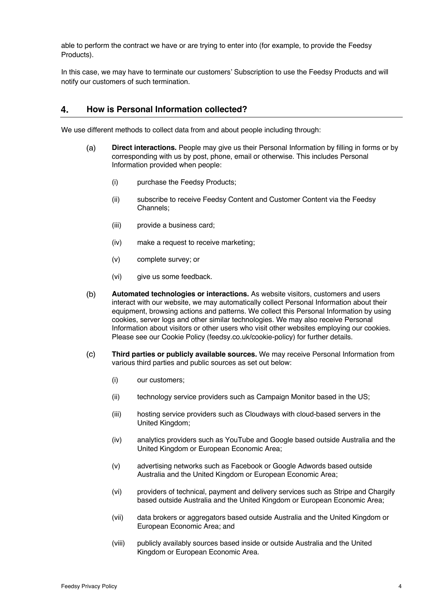able to perform the contract we have or are trying to enter into (for example, to provide the Feedsy Products).

In this case, we may have to terminate our customers' Subscription to use the Feedsy Products and will notify our customers of such termination.

# **How is Personal Information collected?** 4.

We use different methods to collect data from and about people including through:

- $(a)$ **Direct interactions.** People may give us their Personal Information by filling in forms or by corresponding with us by post, phone, email or otherwise. This includes Personal Information provided when people:
	- (i) purchase the Feedsy Products;
	- (ii) subscribe to receive Feedsy Content and Customer Content via the Feedsy Channels;
	- (iii) provide a business card;
	- (iv) make a request to receive marketing;
	- (v) complete survey; or
	- (vi) give us some feedback.
- **Automated technologies or interactions.** As website visitors, customers and users  $(b)$ interact with our website, we may automatically collect Personal Information about their equipment, browsing actions and patterns. We collect this Personal Information by using cookies, server logs and other similar technologies. We may also receive Personal Information about visitors or other users who visit other websites employing our cookies. Please see our Cookie Policy (feedsy.co.uk/cookie-policy) for further details.
- **Third parties or publicly available sources.** We may receive Personal Information from  $(c)$ various third parties and public sources as set out below:
	- (i) our customers;
	- (ii) technology service providers such as Campaign Monitor based in the US;
	- (iii) hosting service providers such as Cloudways with cloud-based servers in the United Kingdom;
	- (iv) analytics providers such as YouTube and Google based outside Australia and the United Kingdom or European Economic Area;
	- (v) advertising networks such as Facebook or Google Adwords based outside Australia and the United Kingdom or European Economic Area;
	- (vi) providers of technical, payment and delivery services such as Stripe and Chargify based outside Australia and the United Kingdom or European Economic Area;
	- (vii) data brokers or aggregators based outside Australia and the United Kingdom or European Economic Area; and
	- (viii) publicly availably sources based inside or outside Australia and the United Kingdom or European Economic Area.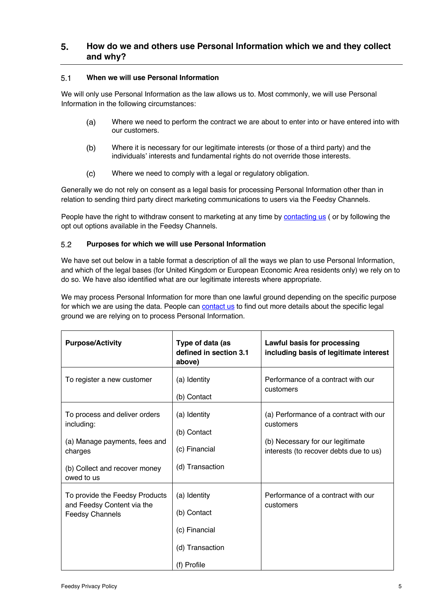# $5<sub>1</sub>$ **How do we and others use Personal Information which we and they collect and why?**

# $5.1$ **When we will use Personal Information**

We will only use Personal Information as the law allows us to. Most commonly, we will use Personal Information in the following circumstances:

- Where we need to perform the contract we are about to enter into or have entered into with  $(a)$ our customers.
- $(b)$ Where it is necessary for our legitimate interests (or those of a third party) and the individuals' interests and fundamental rights do not override those interests.
- $(c)$ Where we need to comply with a legal or regulatory obligation.

Generally we do not rely on consent as a legal basis for processing Personal Information other than in relation to sending third party direct marketing communications to users via the Feedsy Channels.

People have the right to withdraw consent to marketing at any time by contacting us ( or by following the opt out options available in the Feedsy Channels.

# $5.2$ **Purposes for which we will use Personal Information**

We have set out below in a table format a description of all the ways we plan to use Personal Information, and which of the legal bases (for United Kingdom or European Economic Area residents only) we rely on to do so. We have also identified what are our legitimate interests where appropriate.

We may process Personal Information for more than one lawful ground depending on the specific purpose for which we are using the data. People can **contact us** to find out more details about the specific legal ground we are relying on to process Personal Information.

| <b>Purpose/Activity</b>                                                                                                  | Type of data (as<br>defined in section 3.1<br>above)                           | Lawful basis for processing<br>including basis of legitimate interest                                                             |
|--------------------------------------------------------------------------------------------------------------------------|--------------------------------------------------------------------------------|-----------------------------------------------------------------------------------------------------------------------------------|
| To register a new customer                                                                                               | (a) Identity<br>(b) Contact                                                    | Performance of a contract with our<br>customers                                                                                   |
| To process and deliver orders<br>including:<br>(a) Manage payments, fees and<br>charges<br>(b) Collect and recover money | (a) Identity<br>(b) Contact<br>(c) Financial<br>(d) Transaction                | (a) Performance of a contract with our<br>customers<br>(b) Necessary for our legitimate<br>interests (to recover debts due to us) |
| owed to us<br>To provide the Feedsy Products<br>and Feedsy Content via the<br><b>Feedsy Channels</b>                     | (a) Identity<br>(b) Contact<br>(c) Financial<br>(d) Transaction<br>(f) Profile | Performance of a contract with our<br>customers                                                                                   |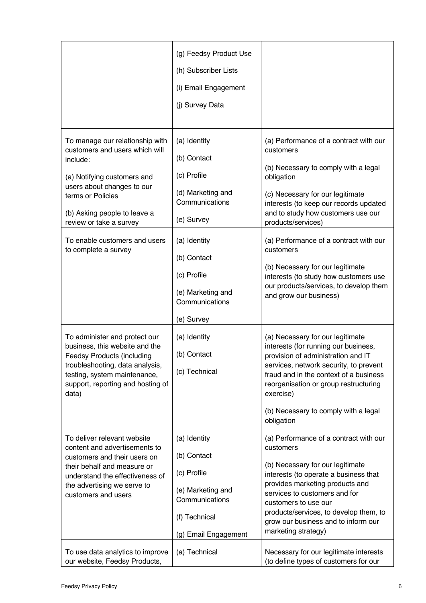|                                                                                                                                                                                                                                                             | (g) Feedsy Product Use                                                                                          |                                                                                                                                                                                                                                                                                               |
|-------------------------------------------------------------------------------------------------------------------------------------------------------------------------------------------------------------------------------------------------------------|-----------------------------------------------------------------------------------------------------------------|-----------------------------------------------------------------------------------------------------------------------------------------------------------------------------------------------------------------------------------------------------------------------------------------------|
|                                                                                                                                                                                                                                                             | (h) Subscriber Lists                                                                                            |                                                                                                                                                                                                                                                                                               |
|                                                                                                                                                                                                                                                             | (i) Email Engagement                                                                                            |                                                                                                                                                                                                                                                                                               |
|                                                                                                                                                                                                                                                             | (j) Survey Data                                                                                                 |                                                                                                                                                                                                                                                                                               |
|                                                                                                                                                                                                                                                             |                                                                                                                 |                                                                                                                                                                                                                                                                                               |
| To manage our relationship with<br>customers and users which will<br>include:<br>(a) Notifying customers and<br>users about changes to our<br>terms or Policies<br>(b) Asking people to leave a<br>review or take a survey<br>To enable customers and users | (a) Identity<br>(b) Contact<br>(c) Profile<br>(d) Marketing and<br>Communications<br>(e) Survey<br>(a) Identity | (a) Performance of a contract with our<br>customers<br>(b) Necessary to comply with a legal<br>obligation<br>(c) Necessary for our legitimate<br>interests (to keep our records updated<br>and to study how customers use our<br>products/services)<br>(a) Performance of a contract with our |
| to complete a survey                                                                                                                                                                                                                                        | (b) Contact                                                                                                     | customers                                                                                                                                                                                                                                                                                     |
|                                                                                                                                                                                                                                                             | (c) Profile                                                                                                     | (b) Necessary for our legitimate<br>interests (to study how customers use<br>our products/services, to develop them                                                                                                                                                                           |
|                                                                                                                                                                                                                                                             | (e) Marketing and<br>Communications                                                                             | and grow our business)                                                                                                                                                                                                                                                                        |
|                                                                                                                                                                                                                                                             | (e) Survey                                                                                                      |                                                                                                                                                                                                                                                                                               |
| To administer and protect our<br>business, this website and the<br><b>Feedsy Products (including</b><br>troubleshooting, data analysis,<br>testing, system maintenance,<br>support, reporting and hosting of<br>data)                                       | (a) Identity<br>(b) Contact<br>(c) Technical                                                                    | (a) Necessary for our legitimate<br>interests (for running our business,<br>provision of administration and IT<br>services, network security, to prevent<br>fraud and in the context of a business<br>reorganisation or group restructuring<br>exercise)                                      |
|                                                                                                                                                                                                                                                             |                                                                                                                 | (b) Necessary to comply with a legal<br>obligation                                                                                                                                                                                                                                            |
| To deliver relevant website<br>content and advertisements to<br>customers and their users on<br>their behalf and measure or<br>understand the effectiveness of<br>the advertising we serve to<br>customers and users                                        | (a) Identity<br>(b) Contact<br>(c) Profile<br>(e) Marketing and<br>Communications                               | (a) Performance of a contract with our<br>customers<br>(b) Necessary for our legitimate<br>interests (to operate a business that<br>provides marketing products and<br>services to customers and for<br>customers to use our                                                                  |
|                                                                                                                                                                                                                                                             | (f) Technical<br>(g) Email Engagement                                                                           | products/services, to develop them, to<br>grow our business and to inform our<br>marketing strategy)                                                                                                                                                                                          |
| To use data analytics to improve<br>our website, Feedsy Products,                                                                                                                                                                                           | (a) Technical                                                                                                   | Necessary for our legitimate interests<br>(to define types of customers for our                                                                                                                                                                                                               |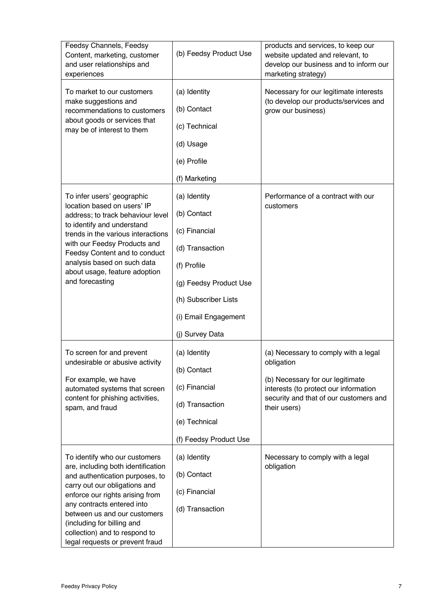| Feedsy Channels, Feedsy<br>Content, marketing, customer<br>and user relationships and<br>experiences                                                                                                                                                                                                                                       | (b) Feedsy Product Use                                                                                                                                                      | products and services, to keep our<br>website updated and relevant, to<br>develop our business and to inform our<br>marketing strategy)                                                   |
|--------------------------------------------------------------------------------------------------------------------------------------------------------------------------------------------------------------------------------------------------------------------------------------------------------------------------------------------|-----------------------------------------------------------------------------------------------------------------------------------------------------------------------------|-------------------------------------------------------------------------------------------------------------------------------------------------------------------------------------------|
| To market to our customers<br>make suggestions and<br>recommendations to customers<br>about goods or services that<br>may be of interest to them                                                                                                                                                                                           | (a) Identity<br>(b) Contact<br>(c) Technical<br>(d) Usage<br>(e) Profile<br>(f) Marketing                                                                                   | Necessary for our legitimate interests<br>(to develop our products/services and<br>grow our business)                                                                                     |
| To infer users' geographic<br>location based on users' IP<br>address; to track behaviour level<br>to identify and understand<br>trends in the various interactions<br>with our Feedsy Products and<br>Feedsy Content and to conduct<br>analysis based on such data<br>about usage, feature adoption<br>and forecasting                     | (a) Identity<br>(b) Contact<br>(c) Financial<br>(d) Transaction<br>(f) Profile<br>(g) Feedsy Product Use<br>(h) Subscriber Lists<br>(i) Email Engagement<br>(j) Survey Data | Performance of a contract with our<br>customers                                                                                                                                           |
| To screen for and prevent<br>undesirable or abusive activity<br>For example, we have<br>automated systems that screen<br>content for phishing activities,<br>spam, and fraud                                                                                                                                                               | (a) Identity<br>(b) Contact<br>(c) Financial<br>(d) Transaction<br>(e) Technical<br>(f) Feedsy Product Use                                                                  | (a) Necessary to comply with a legal<br>obligation<br>(b) Necessary for our legitimate<br>interests (to protect our information<br>security and that of our customers and<br>their users) |
| To identify who our customers<br>are, including both identification<br>and authentication purposes, to<br>carry out our obligations and<br>enforce our rights arising from<br>any contracts entered into<br>between us and our customers<br>(including for billing and<br>collection) and to respond to<br>legal requests or prevent fraud | (a) Identity<br>(b) Contact<br>(c) Financial<br>(d) Transaction                                                                                                             | Necessary to comply with a legal<br>obligation                                                                                                                                            |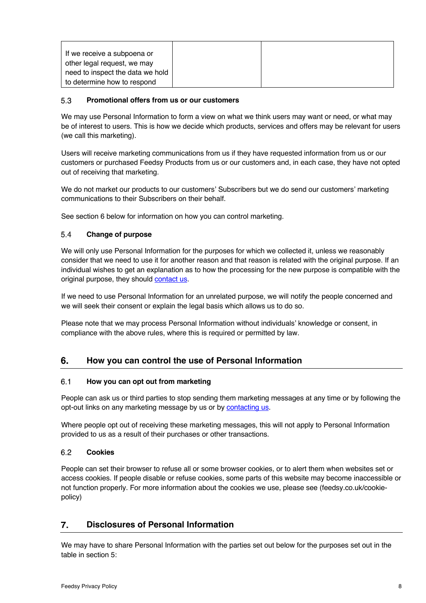| If we receive a subpoena or      |  |
|----------------------------------|--|
| other legal request, we may      |  |
| need to inspect the data we hold |  |
| to determine how to respond      |  |

### $5.3$ **Promotional offers from us or our customers**

We may use Personal Information to form a view on what we think users may want or need, or what may be of interest to users. This is how we decide which products, services and offers may be relevant for users (we call this marketing).

Users will receive marketing communications from us if they have requested information from us or our customers or purchased Feedsy Products from us or our customers and, in each case, they have not opted out of receiving that marketing.

We do not market our products to our customers' Subscribers but we do send our customers' marketing communications to their Subscribers on their behalf.

See section 6 below for information on how you can control marketing.

# $5.4$ **Change of purpose**

We will only use Personal Information for the purposes for which we collected it, unless we reasonably consider that we need to use it for another reason and that reason is related with the original purpose. If an individual wishes to get an explanation as to how the processing for the new purpose is compatible with the original purpose, they should contact us.

If we need to use Personal Information for an unrelated purpose, we will notify the people concerned and we will seek their consent or explain the legal basis which allows us to do so.

Please note that we may process Personal Information without individuals' knowledge or consent, in compliance with the above rules, where this is required or permitted by law.

# **How you can control the use of Personal Information** 6.

### $6.1$ **How you can opt out from marketing**

People can ask us or third parties to stop sending them marketing messages at any time or by following the opt-out links on any marketing message by us or by contacting us.

Where people opt out of receiving these marketing messages, this will not apply to Personal Information provided to us as a result of their purchases or other transactions.

### $6.2$ **Cookies**

People can set their browser to refuse all or some browser cookies, or to alert them when websites set or access cookies. If people disable or refuse cookies, some parts of this website may become inaccessible or not function properly. For more information about the cookies we use, please see (feedsy.co.uk/cookiepolicy)

# $\overline{7}$ . **Disclosures of Personal Information**

We may have to share Personal Information with the parties set out below for the purposes set out in the table in section 5: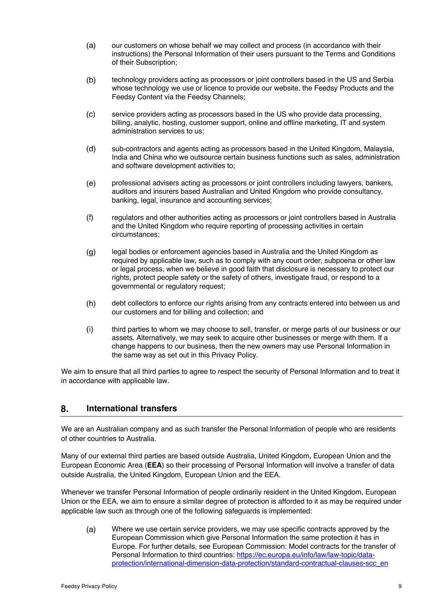- $(a)$ our customers on whose behalf we may collect and process (in accordance with their instructions) the Personal Information of their users pursuant to the Terms and Conditions of their Subscription;
- $(b)$ technology providers acting as processors or joint controllers based in the US and Serbia whose technology we use or licence to provide our website, the Feedsy Products and the Feedsy Content via the Feedsy Channels;
- $(c)$ service providers acting as processors based in the US who provide data processing, billing, analytic, hosting, customer support, online and offline marketing, IT and system administration services to us;
- $(d)$ sub-contractors and agents acting as processors based in the United Kingdom, Malaysia, India and China who we outsource certain business functions such as sales, administration and software development activities to;
- $(e)$ professional advisers acting as processors or joint controllers including lawyers, bankers, auditors and insurers based Australian and United Kingdom who provide consultancy, banking, legal, insurance and accounting services;
- $(f)$ regulators and other authorities acting as processors or joint controllers based in Australia and the United Kingdom who require reporting of processing activities in certain circumstances;
- $(g)$ legal bodies or enforcement agencies based in Australia and the United Kingdom as required by applicable law, such as to comply with any court order, subpoena or other law or legal process, when we believe in good faith that disclosure is necessary to protect our rights, protect people safety or the safety of others, investigate fraud, or respond to a governmental or regulatory request;
- $(h)$ debt collectors to enforce our rights arising from any contracts entered into between us and our customers and for billing and collection; and
- $(i)$ third parties to whom we may choose to sell, transfer, or merge parts of our business or our assets. Alternatively, we may seek to acquire other businesses or merge with them. If a change happens to our business, then the new owners may use Personal Information in the same way as set out in this Privacy Policy.

We aim to ensure that all third parties to agree to respect the security of Personal Information and to treat it in accordance with applicable law.

# 8. **International transfers**

We are an Australian company and as such transfer the Personal Information of people who are residents of other countries to Australia.

Many of our external third parties are based outside Australia, United Kingdom, European Union and the European Economic Area (**EEA**) so their processing of Personal Information will involve a transfer of data outside Australia, the United Kingdom, European Union and the EEA.

Whenever we transfer Personal Information of people ordinarily resident in the United Kingdom, European Union or the EEA, we aim to ensure a similar degree of protection is afforded to it as may be required under applicable law such as through one of the following safeguards is implemented:

Where we use certain service providers, we may use specific contracts approved by the  $(a)$ European Commission which give Personal Information the same protection it has in Europe. For further details, see European Commission: Model contracts for the transfer of Personal Information to third countries: https://ec.europa.eu/info/law/law-topic/dataprotection/international-dimension-data-protection/standard-contractual-clauses-scc\_en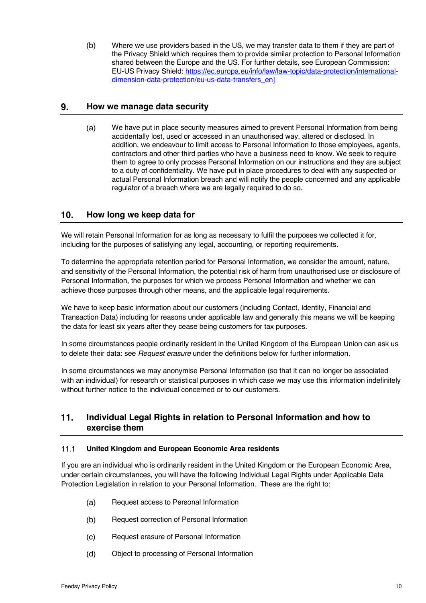$(b)$ Where we use providers based in the US, we may transfer data to them if they are part of the Privacy Shield which requires them to provide similar protection to Personal Information shared between the Europe and the US. For further details, see European Commission: EU-US Privacy Shield: https://ec.europa.eu/info/law/law-topic/data-protection/internationaldimension-data-protection/eu-us-data-transfers\_en]

# 9. **How we manage data security**

We have put in place security measures aimed to prevent Personal Information from being  $(a)$ accidentally lost, used or accessed in an unauthorised way, altered or disclosed. In addition, we endeavour to limit access to Personal Information to those employees, agents, contractors and other third parties who have a business need to know. We seek to require them to agree to only process Personal Information on our instructions and they are subject to a duty of confidentiality. We have put in place procedures to deal with any suspected or actual Personal Information breach and will notify the people concerned and any applicable regulator of a breach where we are legally required to do so.

# $10<sub>1</sub>$ **How long we keep data for**

We will retain Personal Information for as long as necessary to fulfil the purposes we collected it for, including for the purposes of satisfying any legal, accounting, or reporting requirements.

To determine the appropriate retention period for Personal Information, we consider the amount, nature, and sensitivity of the Personal Information, the potential risk of harm from unauthorised use or disclosure of Personal Information, the purposes for which we process Personal Information and whether we can achieve those purposes through other means, and the applicable legal requirements.

We have to keep basic information about our customers (including Contact, Identity, Financial and Transaction Data) including for reasons under applicable law and generally this means we will be keeping the data for least six years after they cease being customers for tax purposes.

In some circumstances people ordinarily resident in the United Kingdom of the European Union can ask us to delete their data: see *Request erasure* under the definitions below for further information.

In some circumstances we may anonymise Personal Information (so that it can no longer be associated with an individual) for research or statistical purposes in which case we may use this information indefinitely without further notice to the individual concerned or to our customers.

# $11.$ **Individual Legal Rights in relation to Personal Information and how to exercise them**

### $11.1$ **United Kingdom and European Economic Area residents**

If you are an individual who is ordinarily resident in the United Kingdom or the European Economic Area, under certain circumstances, you will have the following Individual Legal Rights under Applicable Data Protection Legislation in relation to your Personal Information. These are the right to:

- $(a)$ Request access to Personal Information
- $(b)$ Request correction of Personal Information
- $(c)$ Request erasure of Personal Information
- $(d)$ Object to processing of Personal Information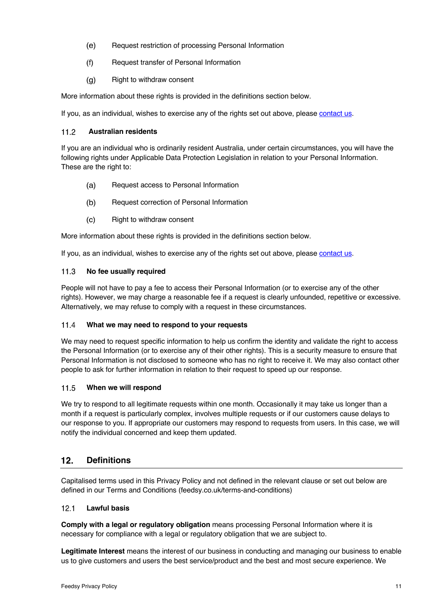- $(e)$ Request restriction of processing Personal Information
- $(f)$ Request transfer of Personal Information
- Right to withdraw consent  $(q)$

More information about these rights is provided in the definitions section below.

If you, as an individual, wishes to exercise any of the rights set out above, please contact us.

# $112$ **Australian residents**

If you are an individual who is ordinarily resident Australia, under certain circumstances, you will have the following rights under Applicable Data Protection Legislation in relation to your Personal Information. These are the right to:

- $(a)$ Request access to Personal Information
- $(b)$ Request correction of Personal Information
- $(c)$ Right to withdraw consent

More information about these rights is provided in the definitions section below.

If you, as an individual, wishes to exercise any of the rights set out above, please contact us.

# $11.3$ **No fee usually required**

People will not have to pay a fee to access their Personal Information (or to exercise any of the other rights). However, we may charge a reasonable fee if a request is clearly unfounded, repetitive or excessive. Alternatively, we may refuse to comply with a request in these circumstances.

### $11.4$ **What we may need to respond to your requests**

We may need to request specific information to help us confirm the identity and validate the right to access the Personal Information (or to exercise any of their other rights). This is a security measure to ensure that Personal Information is not disclosed to someone who has no right to receive it. We may also contact other people to ask for further information in relation to their request to speed up our response.

### $11.5$ **When we will respond**

We try to respond to all legitimate requests within one month. Occasionally it may take us longer than a month if a request is particularly complex, involves multiple requests or if our customers cause delays to our response to you. If appropriate our customers may respond to requests from users. In this case, we will notify the individual concerned and keep them updated.

# $12.$ **Definitions**

Capitalised terms used in this Privacy Policy and not defined in the relevant clause or set out below are defined in our Terms and Conditions (feedsy.co.uk/terms-and-conditions)

### $12.1$ **Lawful basis**

**Comply with a legal or regulatory obligation** means processing Personal Information where it is necessary for compliance with a legal or regulatory obligation that we are subject to.

**Legitimate Interest** means the interest of our business in conducting and managing our business to enable us to give customers and users the best service/product and the best and most secure experience. We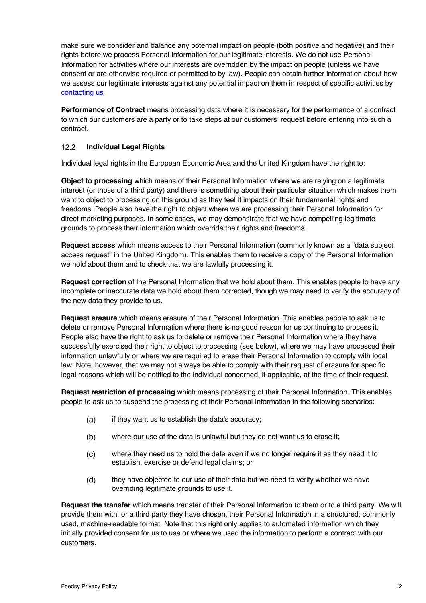make sure we consider and balance any potential impact on people (both positive and negative) and their rights before we process Personal Information for our legitimate interests. We do not use Personal Information for activities where our interests are overridden by the impact on people (unless we have consent or are otherwise required or permitted to by law). People can obtain further information about how we assess our legitimate interests against any potential impact on them in respect of specific activities by contacting us

**Performance of Contract** means processing data where it is necessary for the performance of a contract to which our customers are a party or to take steps at our customers' request before entering into such a contract.

# $12.2$ **Individual Legal Rights**

Individual legal rights in the European Economic Area and the United Kingdom have the right to:

**Object to processing** which means of their Personal Information where we are relying on a legitimate interest (or those of a third party) and there is something about their particular situation which makes them want to object to processing on this ground as they feel it impacts on their fundamental rights and freedoms. People also have the right to object where we are processing their Personal Information for direct marketing purposes. In some cases, we may demonstrate that we have compelling legitimate grounds to process their information which override their rights and freedoms.

**Request access** which means access to their Personal Information (commonly known as a "data subject access request" in the United Kingdom). This enables them to receive a copy of the Personal Information we hold about them and to check that we are lawfully processing it.

**Request correction** of the Personal Information that we hold about them. This enables people to have any incomplete or inaccurate data we hold about them corrected, though we may need to verify the accuracy of the new data they provide to us.

**Request erasure** which means erasure of their Personal Information. This enables people to ask us to delete or remove Personal Information where there is no good reason for us continuing to process it. People also have the right to ask us to delete or remove their Personal Information where they have successfully exercised their right to object to processing (see below), where we may have processed their information unlawfully or where we are required to erase their Personal Information to comply with local law. Note, however, that we may not always be able to comply with their request of erasure for specific legal reasons which will be notified to the individual concerned, if applicable, at the time of their request.

**Request restriction of processing** which means processing of their Personal Information. This enables people to ask us to suspend the processing of their Personal Information in the following scenarios:

- if they want us to establish the data's accuracy;  $(a)$
- $(b)$ where our use of the data is unlawful but they do not want us to erase it;
- $(c)$ where they need us to hold the data even if we no longer require it as they need it to establish, exercise or defend legal claims; or
- $(d)$ they have objected to our use of their data but we need to verify whether we have overriding legitimate grounds to use it.

**Request the transfer** which means transfer of their Personal Information to them or to a third party. We will provide them with, or a third party they have chosen, their Personal Information in a structured, commonly used, machine-readable format. Note that this right only applies to automated information which they initially provided consent for us to use or where we used the information to perform a contract with our customers.